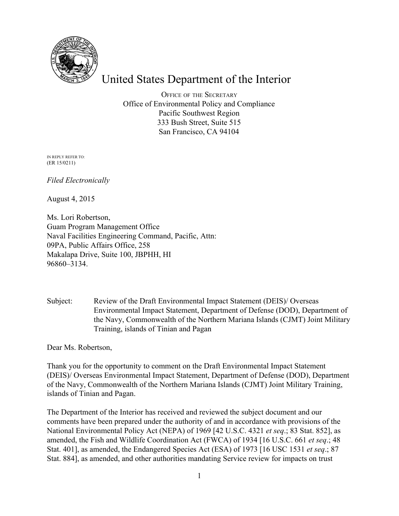

# United States Department of the Interior

OFFICE OF THE SECRETARY Office of Environmental Policy and Compliance Pacific Southwest Region 333 Bush Street, Suite 515 San Francisco, CA 94104

IN REPLY REFER TO: (ER 15/0211)

*Filed Electronically*

August 4, 2015

Ms. Lori Robertson, Guam Program Management Office Naval Facilities Engineering Command, Pacific, Attn: 09PA, Public Affairs Office, 258 Makalapa Drive, Suite 100, JBPHH, HI 96860–3134.

Subject: Review of the Draft Environmental Impact Statement (DEIS)/ Overseas Environmental Impact Statement, Department of Defense (DOD), Department of the Navy, Commonwealth of the Northern Mariana Islands (CJMT) Joint Military Training, islands of Tinian and Pagan

Dear Ms. Robertson,

Thank you for the opportunity to comment on the Draft Environmental Impact Statement (DEIS)/ Overseas Environmental Impact Statement, Department of Defense (DOD), Department of the Navy, Commonwealth of the Northern Mariana Islands (CJMT) Joint Military Training, islands of Tinian and Pagan.

The Department of the Interior has received and reviewed the subject document and our comments have been prepared under the authority of and in accordance with provisions of the National Environmental Policy Act (NEPA) of 1969 [42 U.S.C. 4321 *et seq*.; 83 Stat. 852], as amended, the Fish and Wildlife Coordination Act (FWCA) of 1934 [16 U.S.C. 661 *et seq*.; 48 Stat. 401], as amended, the Endangered Species Act (ESA) of 1973 [16 USC 1531 *et seq*.; 87 Stat. 884], as amended, and other authorities mandating Service review for impacts on trust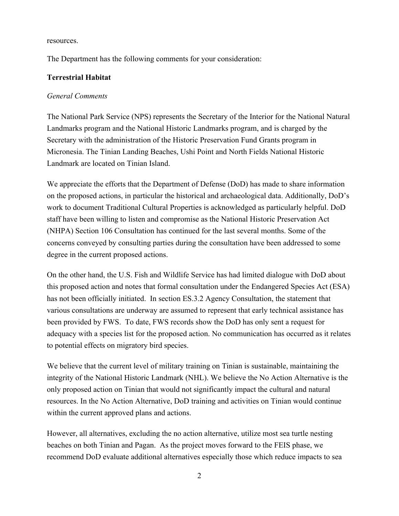resources.

The Department has the following comments for your consideration:

## **Terrestrial Habitat**

#### *General Comments*

The National Park Service (NPS) represents the Secretary of the Interior for the National Natural Landmarks program and the National Historic Landmarks program, and is charged by the Secretary with the administration of the Historic Preservation Fund Grants program in Micronesia. The Tinian Landing Beaches, Ushi Point and North Fields National Historic Landmark are located on Tinian Island.

We appreciate the efforts that the Department of Defense (DoD) has made to share information on the proposed actions, in particular the historical and archaeological data. Additionally, DoD's work to document Traditional Cultural Properties is acknowledged as particularly helpful. DoD staff have been willing to listen and compromise as the National Historic Preservation Act (NHPA) Section 106 Consultation has continued for the last several months. Some of the concerns conveyed by consulting parties during the consultation have been addressed to some degree in the current proposed actions.

On the other hand, the U.S. Fish and Wildlife Service has had limited dialogue with DoD about this proposed action and notes that formal consultation under the Endangered Species Act (ESA) has not been officially initiated. In section ES.3.2 Agency Consultation, the statement that various consultations are underway are assumed to represent that early technical assistance has been provided by FWS. To date, FWS records show the DoD has only sent a request for adequacy with a species list for the proposed action. No communication has occurred as it relates to potential effects on migratory bird species.

We believe that the current level of military training on Tinian is sustainable, maintaining the integrity of the National Historic Landmark (NHL). We believe the No Action Alternative is the only proposed action on Tinian that would not significantly impact the cultural and natural resources. In the No Action Alternative, DoD training and activities on Tinian would continue within the current approved plans and actions.

However, all alternatives, excluding the no action alternative, utilize most sea turtle nesting beaches on both Tinian and Pagan. As the project moves forward to the FEIS phase, we recommend DoD evaluate additional alternatives especially those which reduce impacts to sea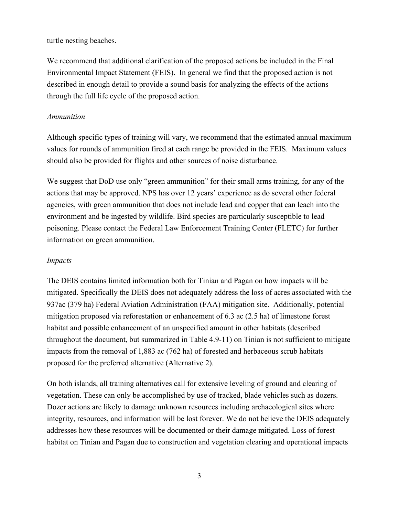#### turtle nesting beaches.

We recommend that additional clarification of the proposed actions be included in the Final Environmental Impact Statement (FEIS). In general we find that the proposed action is not described in enough detail to provide a sound basis for analyzing the effects of the actions through the full life cycle of the proposed action.

#### *Ammunition*

Although specific types of training will vary, we recommend that the estimated annual maximum values for rounds of ammunition fired at each range be provided in the FEIS. Maximum values should also be provided for flights and other sources of noise disturbance.

We suggest that DoD use only "green ammunition" for their small arms training, for any of the actions that may be approved. NPS has over 12 years' experience as do several other federal agencies, with green ammunition that does not include lead and copper that can leach into the environment and be ingested by wildlife. Bird species are particularly susceptible to lead poisoning. Please contact the Federal Law Enforcement Training Center (FLETC) for further information on green ammunition.

#### *Impacts*

The DEIS contains limited information both for Tinian and Pagan on how impacts will be mitigated. Specifically the DEIS does not adequately address the loss of acres associated with the 937ac (379 ha) Federal Aviation Administration (FAA) mitigation site. Additionally, potential mitigation proposed via reforestation or enhancement of 6.3 ac (2.5 ha) of limestone forest habitat and possible enhancement of an unspecified amount in other habitats (described throughout the document, but summarized in Table 4.9-11) on Tinian is not sufficient to mitigate impacts from the removal of 1,883 ac (762 ha) of forested and herbaceous scrub habitats proposed for the preferred alternative (Alternative 2).

On both islands, all training alternatives call for extensive leveling of ground and clearing of vegetation. These can only be accomplished by use of tracked, blade vehicles such as dozers. Dozer actions are likely to damage unknown resources including archaeological sites where integrity, resources, and information will be lost forever. We do not believe the DEIS adequately addresses how these resources will be documented or their damage mitigated. Loss of forest habitat on Tinian and Pagan due to construction and vegetation clearing and operational impacts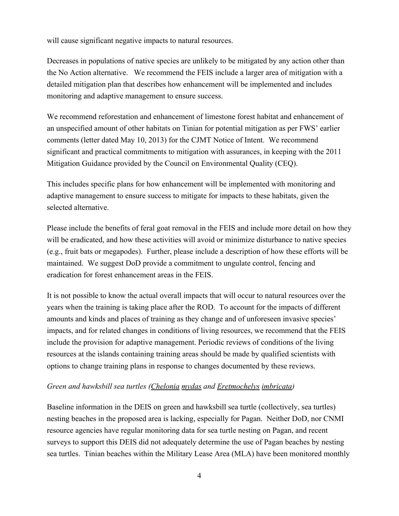will cause significant negative impacts to natural resources.

Decreases in populations of native species are unlikely to be mitigated by any action other than the No Action alternative. We recommend the FEIS include a larger area of mitigation with a detailed mitigation plan that describes how enhancement will be implemented and includes monitoring and adaptive management to ensure success.

We recommend reforestation and enhancement of limestone forest habitat and enhancement of an unspecified amount of other habitats on Tinian for potential mitigation as per FWS' earlier comments (letter dated May 10, 2013) for the CJMT Notice of Intent. We recommend significant and practical commitments to mitigation with assurances, in keeping with the 2011 Mitigation Guidance provided by the Council on Environmental Quality (CEQ).

This includes specific plans for how enhancement will be implemented with monitoring and adaptive management to ensure success to mitigate for impacts to these habitats, given the selected alternative.

Please include the benefits of feral goat removal in the FEIS and include more detail on how they will be eradicated, and how these activities will avoid or minimize disturbance to native species (e.g., fruit bats or megapodes). Further, please include a description of how these efforts will be maintained. We suggest DoD provide a commitment to ungulate control, fencing and eradication for forest enhancement areas in the FEIS.

It is not possible to know the actual overall impacts that will occur to natural resources over the years when the training is taking place after the ROD. To account for the impacts of different amounts and kinds and places of training as they change and of unforeseen invasive species' impacts, and for related changes in conditions of living resources, we recommend that the FEIS include the provision for adaptive management. Periodic reviews of conditions of the living resources at the islands containing training areas should be made by qualified scientists with options to change training plans in response to changes documented by these reviews.

#### *Green and hawksbill sea turtles (Chelonia mydas and Eretmochelys imbricata)*

Baseline information in the DEIS on green and hawksbill sea turtle (collectively, sea turtles) nesting beaches in the proposed area is lacking, especially for Pagan. Neither DoD, nor CNMI resource agencies have regular monitoring data for sea turtle nesting on Pagan, and recent surveys to support this DEIS did not adequately determine the use of Pagan beaches by nesting sea turtles. Tinian beaches within the Military Lease Area (MLA) have been monitored monthly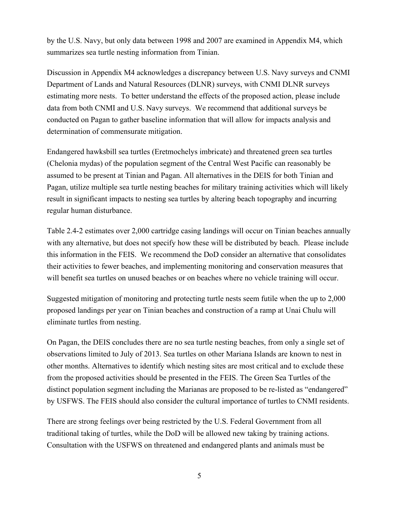by the U.S. Navy, but only data between 1998 and 2007 are examined in Appendix M4, which summarizes sea turtle nesting information from Tinian.

Discussion in Appendix M4 acknowledges a discrepancy between U.S. Navy surveys and CNMI Department of Lands and Natural Resources (DLNR) surveys, with CNMI DLNR surveys estimating more nests. To better understand the effects of the proposed action, please include data from both CNMI and U.S. Navy surveys. We recommend that additional surveys be conducted on Pagan to gather baseline information that will allow for impacts analysis and determination of commensurate mitigation.

Endangered hawksbill sea turtles (Eretmochelys imbricate) and threatened green sea turtles (Chelonia mydas) of the population segment of the Central West Pacific can reasonably be assumed to be present at Tinian and Pagan. All alternatives in the DEIS for both Tinian and Pagan, utilize multiple sea turtle nesting beaches for military training activities which will likely result in significant impacts to nesting sea turtles by altering beach topography and incurring regular human disturbance.

Table 2.42 estimates over 2,000 cartridge casing landings will occur on Tinian beaches annually with any alternative, but does not specify how these will be distributed by beach. Please include this information in the FEIS. We recommend the DoD consider an alternative that consolidates their activities to fewer beaches, and implementing monitoring and conservation measures that will benefit sea turtles on unused beaches or on beaches where no vehicle training will occur.

Suggested mitigation of monitoring and protecting turtle nests seem futile when the up to 2,000 proposed landings per year on Tinian beaches and construction of a ramp at Unai Chulu will eliminate turtles from nesting.

On Pagan, the DEIS concludes there are no sea turtle nesting beaches, from only a single set of observations limited to July of 2013. Sea turtles on other Mariana Islands are known to nest in other months. Alternatives to identify which nesting sites are most critical and to exclude these from the proposed activities should be presented in the FEIS. The Green Sea Turtles of the distinct population segment including the Marianas are proposed to be re-listed as "endangered" by USFWS. The FEIS should also consider the cultural importance of turtles to CNMI residents.

There are strong feelings over being restricted by the U.S. Federal Government from all traditional taking of turtles, while the DoD will be allowed new taking by training actions. Consultation with the USFWS on threatened and endangered plants and animals must be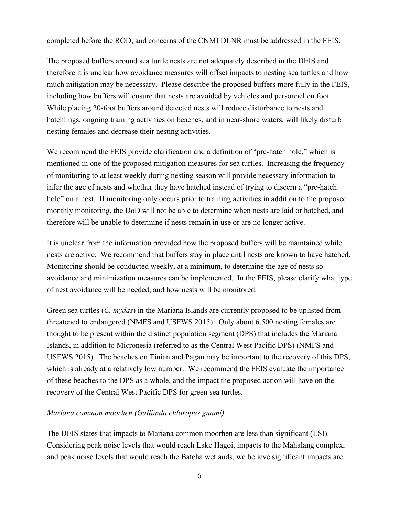completed before the ROD, and concerns of the CNMI DLNR must be addressed in the FEIS.

The proposed buffers around sea turtle nests are not adequately described in the DEIS and therefore it is unclear how avoidance measures will offset impacts to nesting sea turtles and how much mitigation may be necessary. Please describe the proposed buffers more fully in the FEIS, including how buffers will ensure that nests are avoided by vehicles and personnel on foot. While placing 20-foot buffers around detected nests will reduce disturbance to nests and hatchlings, ongoing training activities on beaches, and in near-shore waters, will likely disturb nesting females and decrease their nesting activities.

We recommend the FEIS provide clarification and a definition of "pre-hatch hole," which is mentioned in one of the proposed mitigation measures for sea turtles. Increasing the frequency of monitoring to at least weekly during nesting season will provide necessary information to infer the age of nests and whether they have hatched instead of trying to discern a "pre-hatch" hole" on a nest. If monitoring only occurs prior to training activities in addition to the proposed monthly monitoring, the DoD will not be able to determine when nests are laid or hatched, and therefore will be unable to determine if nests remain in use or are no longer active.

It is unclear from the information provided how the proposed buffers will be maintained while nests are active. We recommend that buffers stay in place until nests are known to have hatched. Monitoring should be conducted weekly, at a minimum, to determine the age of nests so avoidance and minimization measures can be implemented. In the FEIS, please clarify what type of nest avoidance will be needed, and how nests will be monitored.

Green sea turtles (*C. mydas*) in the Mariana Islands are currently proposed to be uplisted from threatened to endangered (NMFS and USFWS 2015). Only about 6,500 nesting females are thought to be present within the distinct population segment (DPS) that includes the Mariana Islands, in addition to Micronesia (referred to as the Central West Pacific DPS) (NMFS and USFWS 2015). The beaches on Tinian and Pagan may be important to the recovery of this DPS, which is already at a relatively low number. We recommend the FEIS evaluate the importance of these beaches to the DPS as a whole, and the impact the proposed action will have on the recovery of the Central West Pacific DPS for green sea turtles.

#### *Mariana common moorhen (Gallinula chloropus guami)*

The DEIS states that impacts to Mariana common moorhen are less than significant (LSI). Considering peak noise levels that would reach Lake Hagoi, impacts to the Mahalang complex, and peak noise levels that would reach the Bateha wetlands, we believe significant impacts are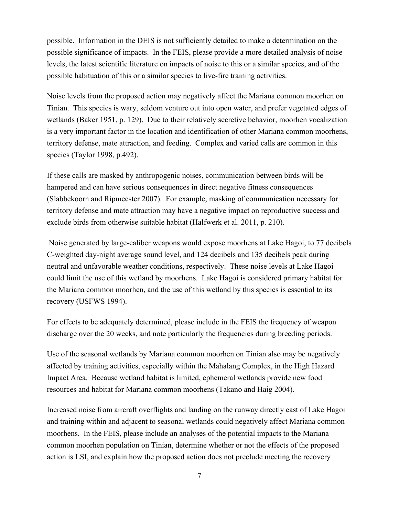possible. Information in the DEIS is not sufficiently detailed to make a determination on the possible significance of impacts. In the FEIS, please provide a more detailed analysis of noise levels, the latest scientific literature on impacts of noise to this or a similar species, and of the possible habituation of this or a similar species to live-fire training activities.

Noise levels from the proposed action may negatively affect the Mariana common moorhen on Tinian. This species is wary, seldom venture out into open water, and prefer vegetated edges of wetlands (Baker 1951, p. 129). Due to their relatively secretive behavior, moorhen vocalization is a very important factor in the location and identification of other Mariana common moorhens, territory defense, mate attraction, and feeding. Complex and varied calls are common in this species (Taylor 1998, p.492).

If these calls are masked by anthropogenic noises, communication between birds will be hampered and can have serious consequences in direct negative fitness consequences (Slabbekoorn and Ripmeester 2007). For example, masking of communication necessary for territory defense and mate attraction may have a negative impact on reproductive success and exclude birds from otherwise suitable habitat (Halfwerk et al. 2011, p. 210).

Noise generated by large-caliber weapons would expose moorhens at Lake Hagoi, to 77 decibels C-weighted day-night average sound level, and 124 decibels and 135 decibels peak during neutral and unfavorable weather conditions, respectively. These noise levels at Lake Hagoi could limit the use of this wetland by moorhens. Lake Hagoi is considered primary habitat for the Mariana common moorhen, and the use of this wetland by this species is essential to its recovery (USFWS 1994).

For effects to be adequately determined, please include in the FEIS the frequency of weapon discharge over the 20 weeks, and note particularly the frequencies during breeding periods.

Use of the seasonal wetlands by Mariana common moorhen on Tinian also may be negatively affected by training activities, especially within the Mahalang Complex, in the High Hazard Impact Area. Because wetland habitat is limited, ephemeral wetlands provide new food resources and habitat for Mariana common moorhens (Takano and Haig 2004).

Increased noise from aircraft overflights and landing on the runway directly east of Lake Hagoi and training within and adjacent to seasonal wetlands could negatively affect Mariana common moorhens. In the FEIS, please include an analyses of the potential impacts to the Mariana common moorhen population on Tinian, determine whether or not the effects of the proposed action is LSI, and explain how the proposed action does not preclude meeting the recovery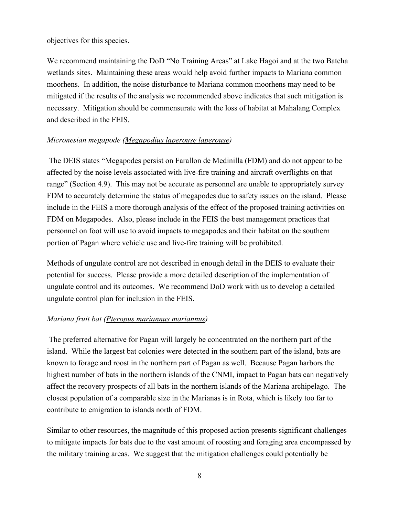objectives for this species.

We recommend maintaining the DoD "No Training Areas" at Lake Hagoi and at the two Bateha wetlands sites. Maintaining these areas would help avoid further impacts to Mariana common moorhens. In addition, the noise disturbance to Mariana common moorhens may need to be mitigated if the results of the analysis we recommended above indicates that such mitigation is necessary. Mitigation should be commensurate with the loss of habitat at Mahalang Complex and described in the FEIS.

#### *Micronesian megapode (Megapodius laperouse laperouse)*

The DEIS states "Megapodes persist on Farallon de Medinilla (FDM) and do not appear to be affected by the noise levels associated with live-fire training and aircraft overflights on that range" (Section 4.9). This may not be accurate as personnel are unable to appropriately survey FDM to accurately determine the status of megapodes due to safety issues on the island. Please include in the FEIS a more thorough analysis of the effect of the proposed training activities on FDM on Megapodes. Also, please include in the FEIS the best management practices that personnel on foot will use to avoid impacts to megapodes and their habitat on the southern portion of Pagan where vehicle use and live-fire training will be prohibited.

Methods of ungulate control are not described in enough detail in the DEIS to evaluate their potential for success. Please provide a more detailed description of the implementation of ungulate control and its outcomes. We recommend DoD work with us to develop a detailed ungulate control plan for inclusion in the FEIS.

#### *Mariana fruit bat (Pteropus mariannus mariannus)*

The preferred alternative for Pagan will largely be concentrated on the northern part of the island. While the largest bat colonies were detected in the southern part of the island, bats are known to forage and roost in the northern part of Pagan as well. Because Pagan harbors the highest number of bats in the northern islands of the CNMI, impact to Pagan bats can negatively affect the recovery prospects of all bats in the northern islands of the Mariana archipelago. The closest population of a comparable size in the Marianas is in Rota, which is likely too far to contribute to emigration to islands north of FDM.

Similar to other resources, the magnitude of this proposed action presents significant challenges to mitigate impacts for bats due to the vast amount of roosting and foraging area encompassed by the military training areas. We suggest that the mitigation challenges could potentially be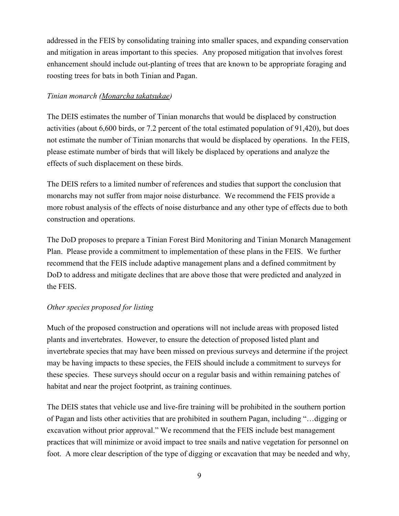addressed in the FEIS by consolidating training into smaller spaces, and expanding conservation and mitigation in areas important to this species. Any proposed mitigation that involves forest enhancement should include out-planting of trees that are known to be appropriate foraging and roosting trees for bats in both Tinian and Pagan.

## *Tinian monarch (Monarcha takatsukae)*

The DEIS estimates the number of Tinian monarchs that would be displaced by construction activities (about 6,600 birds, or 7.2 percent of the total estimated population of 91,420), but does not estimate the number of Tinian monarchs that would be displaced by operations. In the FEIS, please estimate number of birds that will likely be displaced by operations and analyze the effects of such displacement on these birds.

The DEIS refers to a limited number of references and studies that support the conclusion that monarchs may not suffer from major noise disturbance. We recommend the FEIS provide a more robust analysis of the effects of noise disturbance and any other type of effects due to both construction and operations.

The DoD proposes to prepare a Tinian Forest Bird Monitoring and Tinian Monarch Management Plan. Please provide a commitment to implementation of these plans in the FEIS. We further recommend that the FEIS include adaptive management plans and a defined commitment by DoD to address and mitigate declines that are above those that were predicted and analyzed in the FEIS.

## *Other species proposed for listing*

Much of the proposed construction and operations will not include areas with proposed listed plants and invertebrates. However, to ensure the detection of proposed listed plant and invertebrate species that may have been missed on previous surveys and determine if the project may be having impacts to these species, the FEIS should include a commitment to surveys for these species. These surveys should occur on a regular basis and within remaining patches of habitat and near the project footprint, as training continues.

The DEIS states that vehicle use and live-fire training will be prohibited in the southern portion of Pagan and lists other activities that are prohibited in southern Pagan, including "…digging or excavation without prior approval." We recommend that the FEIS include best management practices that will minimize or avoid impact to tree snails and native vegetation for personnel on foot. A more clear description of the type of digging or excavation that may be needed and why,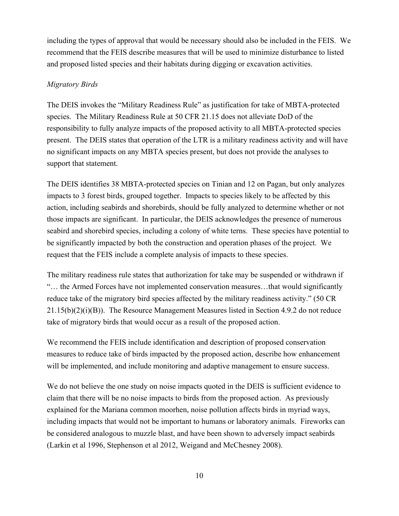including the types of approval that would be necessary should also be included in the FEIS. We recommend that the FEIS describe measures that will be used to minimize disturbance to listed and proposed listed species and their habitats during digging or excavation activities.

## *Migratory Birds*

The DEIS invokes the "Military Readiness Rule" as justification for take of MBTA-protected species. The Military Readiness Rule at 50 CFR 21.15 does not alleviate DoD of the responsibility to fully analyze impacts of the proposed activity to all MBTA-protected species present. The DEIS states that operation of the LTR is a military readiness activity and will have no significant impacts on any MBTA species present, but does not provide the analyses to support that statement.

The DEIS identifies 38 MBTA-protected species on Tinian and 12 on Pagan, but only analyzes impacts to 3 forest birds, grouped together. Impacts to species likely to be affected by this action, including seabirds and shorebirds, should be fully analyzed to determine whether or not those impacts are significant. In particular, the DEIS acknowledges the presence of numerous seabird and shorebird species, including a colony of white terns. These species have potential to be significantly impacted by both the construction and operation phases of the project. We request that the FEIS include a complete analysis of impacts to these species.

The military readiness rule states that authorization for take may be suspended or withdrawn if "… the Armed Forces have not implemented conservation measures…that would significantly reduce take of the migratory bird species affected by the military readiness activity." (50 CR 21.15(b)(2)(i)(B)). The Resource Management Measures listed in Section 4.9.2 do not reduce take of migratory birds that would occur as a result of the proposed action.

We recommend the FEIS include identification and description of proposed conservation measures to reduce take of birds impacted by the proposed action, describe how enhancement will be implemented, and include monitoring and adaptive management to ensure success.

We do not believe the one study on noise impacts quoted in the DEIS is sufficient evidence to claim that there will be no noise impacts to birds from the proposed action. As previously explained for the Mariana common moorhen, noise pollution affects birds in myriad ways, including impacts that would not be important to humans or laboratory animals. Fireworks can be considered analogous to muzzle blast, and have been shown to adversely impact seabirds (Larkin et al 1996, Stephenson et al 2012, Weigand and McChesney 2008).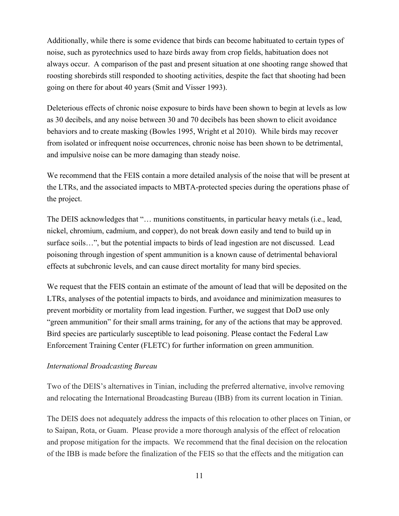Additionally, while there is some evidence that birds can become habituated to certain types of noise, such as pyrotechnics used to haze birds away from crop fields, habituation does not always occur. A comparison of the past and present situation at one shooting range showed that roosting shorebirds still responded to shooting activities, despite the fact that shooting had been going on there for about 40 years (Smit and Visser 1993).

Deleterious effects of chronic noise exposure to birds have been shown to begin at levels as low as 30 decibels, and any noise between 30 and 70 decibels has been shown to elicit avoidance behaviors and to create masking (Bowles 1995, Wright et al 2010). While birds may recover from isolated or infrequent noise occurrences, chronic noise has been shown to be detrimental, and impulsive noise can be more damaging than steady noise.

We recommend that the FEIS contain a more detailed analysis of the noise that will be present at the LTRs, and the associated impacts to MBTA-protected species during the operations phase of the project.

The DEIS acknowledges that "… munitions constituents, in particular heavy metals (i.e., lead, nickel, chromium, cadmium, and copper), do not break down easily and tend to build up in surface soils…", but the potential impacts to birds of lead ingestion are not discussed. Lead poisoning through ingestion of spent ammunition is a known cause of detrimental behavioral effects at subchronic levels, and can cause direct mortality for many bird species.

We request that the FEIS contain an estimate of the amount of lead that will be deposited on the LTRs, analyses of the potential impacts to birds, and avoidance and minimization measures to prevent morbidity or mortality from lead ingestion. Further, we suggest that DoD use only "green ammunition" for their small arms training, for any of the actions that may be approved. Bird species are particularly susceptible to lead poisoning. Please contact the Federal Law Enforcement Training Center (FLETC) for further information on green ammunition.

#### *International Broadcasting Bureau*

Two of the DEIS's alternatives in Tinian, including the preferred alternative, involve removing and relocating the International Broadcasting Bureau (IBB) from its current location in Tinian.

The DEIS does not adequately address the impacts of this relocation to other places on Tinian, or to Saipan, Rota, or Guam. Please provide a more thorough analysis of the effect of relocation and propose mitigation for the impacts. We recommend that the final decision on the relocation of the IBB is made before the finalization of the FEIS so that the effects and the mitigation can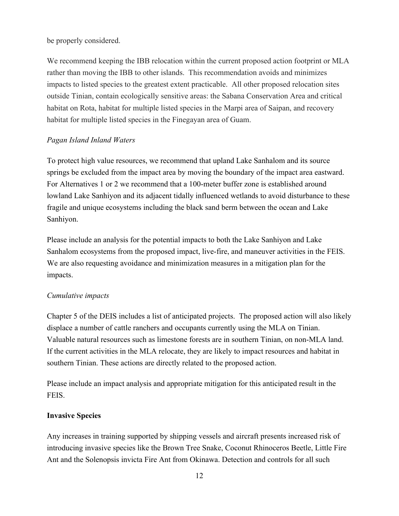#### be properly considered.

We recommend keeping the IBB relocation within the current proposed action footprint or MLA rather than moving the IBB to other islands. This recommendation avoids and minimizes impacts to listed species to the greatest extent practicable. All other proposed relocation sites outside Tinian, contain ecologically sensitive areas: the Sabana Conservation Area and critical habitat on Rota, habitat for multiple listed species in the Marpi area of Saipan, and recovery habitat for multiple listed species in the Finegayan area of Guam.

## *Pagan Island Inland Waters*

To protect high value resources, we recommend that upland Lake Sanhalom and its source springs be excluded from the impact area by moving the boundary of the impact area eastward. For Alternatives 1 or 2 we recommend that a 100-meter buffer zone is established around lowland Lake Sanhiyon and its adjacent tidally influenced wetlands to avoid disturbance to these fragile and unique ecosystems including the black sand berm between the ocean and Lake Sanhiyon.

Please include an analysis for the potential impacts to both the Lake Sanhiyon and Lake Sanhalom ecosystems from the proposed impact, live-fire, and maneuver activities in the FEIS. We are also requesting avoidance and minimization measures in a mitigation plan for the impacts.

#### *Cumulative impacts*

Chapter 5 of the DEIS includes a list of anticipated projects. The proposed action will also likely displace a number of cattle ranchers and occupants currently using the MLA on Tinian. Valuable natural resources such as limestone forests are in southern Tinian, on non-MLA land. If the current activities in the MLA relocate, they are likely to impact resources and habitat in southern Tinian. These actions are directly related to the proposed action.

Please include an impact analysis and appropriate mitigation for this anticipated result in the FEIS.

## **Invasive Species**

Any increases in training supported by shipping vessels and aircraft presents increased risk of introducing invasive species like the Brown Tree Snake, Coconut Rhinoceros Beetle, Little Fire Ant and the Solenopsis invicta Fire Ant from Okinawa. Detection and controls for all such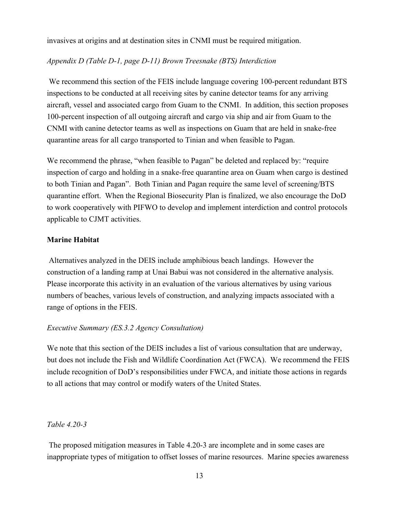invasives at origins and at destination sites in CNMI must be required mitigation.

## *Appendix D (Table D1, page D11) Brown Treesnake (BTS) Interdiction*

We recommend this section of the FEIS include language covering 100-percent redundant BTS inspections to be conducted at all receiving sites by canine detector teams for any arriving aircraft, vessel and associated cargo from Guam to the CNMI. In addition, this section proposes 100-percent inspection of all outgoing aircraft and cargo via ship and air from Guam to the CNMI with canine detector teams as well as inspections on Guam that are held in snake-free quarantine areas for all cargo transported to Tinian and when feasible to Pagan.

We recommend the phrase, "when feasible to Pagan" be deleted and replaced by: "require inspection of cargo and holding in a snake-free quarantine area on Guam when cargo is destined to both Tinian and Pagan". Both Tinian and Pagan require the same level of screening/BTS quarantine effort. When the Regional Biosecurity Plan is finalized, we also encourage the DoD to work cooperatively with PIFWO to develop and implement interdiction and control protocols applicable to CJMT activities.

#### **Marine Habitat**

Alternatives analyzed in the DEIS include amphibious beach landings. However the construction of a landing ramp at Unai Babui was not considered in the alternative analysis. Please incorporate this activity in an evaluation of the various alternatives by using various numbers of beaches, various levels of construction, and analyzing impacts associated with a range of options in the FEIS.

#### *Executive Summary (ES.3.2 Agency Consultation)*

We note that this section of the DEIS includes a list of various consultation that are underway, but does not include the Fish and Wildlife Coordination Act (FWCA). We recommend the FEIS include recognition of DoD's responsibilities under FWCA, and initiate those actions in regards to all actions that may control or modify waters of the United States.

### *Table 4.203*

The proposed mitigation measures in Table 4.20-3 are incomplete and in some cases are inappropriate types of mitigation to offset losses of marine resources. Marine species awareness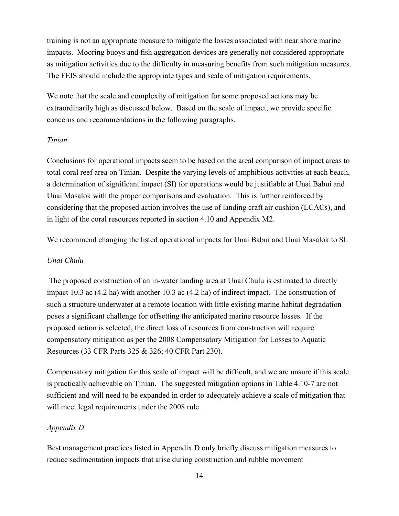training is not an appropriate measure to mitigate the losses associated with near shore marine impacts. Mooring buoys and fish aggregation devices are generally not considered appropriate as mitigation activities due to the difficulty in measuring benefits from such mitigation measures. The FEIS should include the appropriate types and scale of mitigation requirements.

We note that the scale and complexity of mitigation for some proposed actions may be extraordinarily high as discussed below. Based on the scale of impact, we provide specific concerns and recommendations in the following paragraphs.

#### *Tinian*

Conclusions for operational impacts seem to be based on the areal comparison of impact areas to total coral reef area on Tinian. Despite the varying levels of amphibious activities at each beach, a determination of significant impact (SI) for operations would be justifiable at Unai Babui and Unai Masalok with the proper comparisons and evaluation. This is further reinforced by considering that the proposed action involves the use of landing craft air cushion (LCACs), and in light of the coral resources reported in section 4.10 and Appendix M2.

We recommend changing the listed operational impacts for Unai Babui and Unai Masalok to SI.

#### *Unai Chulu*

The proposed construction of an in-water landing area at Unai Chulu is estimated to directly impact 10.3 ac (4.2 ha) with another 10.3 ac (4.2 ha) of indirect impact. The construction of such a structure underwater at a remote location with little existing marine habitat degradation poses a significant challenge for offsetting the anticipated marine resource losses. If the proposed action is selected, the direct loss of resources from construction will require compensatory mitigation as per the 2008 Compensatory Mitigation for Losses to Aquatic Resources (33 CFR Parts 325 & 326; 40 CFR Part 230).

Compensatory mitigation for this scale of impact will be difficult, and we are unsure if this scale is practically achievable on Tinian. The suggested mitigation options in Table 4.10-7 are not sufficient and will need to be expanded in order to adequately achieve a scale of mitigation that will meet legal requirements under the 2008 rule.

#### *Appendix D*

Best management practices listed in Appendix D only briefly discuss mitigation measures to reduce sedimentation impacts that arise during construction and rubble movement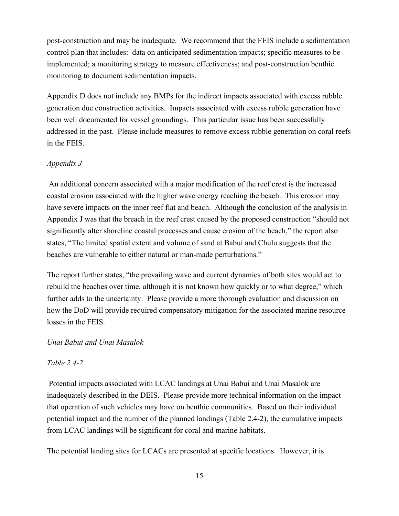post-construction and may be inadequate. We recommend that the FEIS include a sedimentation control plan that includes: data on anticipated sedimentation impacts; specific measures to be implemented; a monitoring strategy to measure effectiveness; and post-construction benthic monitoring to document sedimentation impacts.

Appendix D does not include any BMPs for the indirect impacts associated with excess rubble generation due construction activities. Impacts associated with excess rubble generation have been well documented for vessel groundings. This particular issue has been successfully addressed in the past. Please include measures to remove excess rubble generation on coral reefs in the FEIS.

#### *Appendix J*

An additional concern associated with a major modification of the reef crest is the increased coastal erosion associated with the higher wave energy reaching the beach. This erosion may have severe impacts on the inner reef flat and beach. Although the conclusion of the analysis in Appendix J was that the breach in the reef crest caused by the proposed construction "should not significantly alter shoreline coastal processes and cause erosion of the beach," the report also states, "The limited spatial extent and volume of sand at Babui and Chulu suggests that the beaches are vulnerable to either natural or man-made perturbations."

The report further states, "the prevailing wave and current dynamics of both sites would act to rebuild the beaches over time, although it is not known how quickly or to what degree," which further adds to the uncertainty. Please provide a more thorough evaluation and discussion on how the DoD will provide required compensatory mitigation for the associated marine resource losses in the FEIS.

#### *Unai Babui and Unai Masalok*

#### *Table 2.42*

Potential impacts associated with LCAC landings at Unai Babui and Unai Masalok are inadequately described in the DEIS. Please provide more technical information on the impact that operation of such vehicles may have on benthic communities. Based on their individual potential impact and the number of the planned landings (Table 2.42), the cumulative impacts from LCAC landings will be significant for coral and marine habitats.

The potential landing sites for LCACs are presented at specific locations. However, it is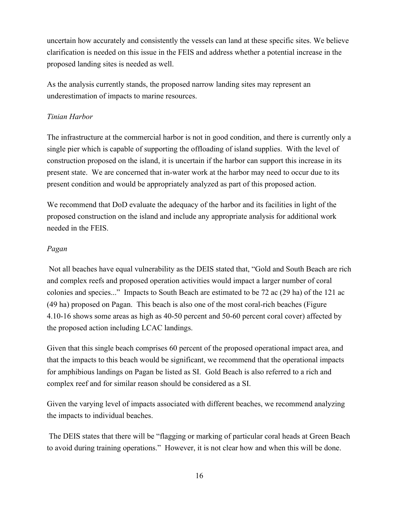uncertain how accurately and consistently the vessels can land at these specific sites. We believe clarification is needed on this issue in the FEIS and address whether a potential increase in the proposed landing sites is needed as well.

As the analysis currently stands, the proposed narrow landing sites may represent an underestimation of impacts to marine resources.

## *Tinian Harbor*

The infrastructure at the commercial harbor is not in good condition, and there is currently only a single pier which is capable of supporting the offloading of island supplies. With the level of construction proposed on the island, it is uncertain if the harbor can support this increase in its present state. We are concerned that inwater work at the harbor may need to occur due to its present condition and would be appropriately analyzed as part of this proposed action.

We recommend that DoD evaluate the adequacy of the harbor and its facilities in light of the proposed construction on the island and include any appropriate analysis for additional work needed in the FEIS.

#### *Pagan*

Not all beaches have equal vulnerability as the DEIS stated that, "Gold and South Beach are rich and complex reefs and proposed operation activities would impact a larger number of coral colonies and species..." Impacts to South Beach are estimated to be 72 ac (29 ha) of the 121 ac (49 ha) proposed on Pagan. This beach is also one of the most coral-rich beaches (Figure 4.10-16 shows some areas as high as 40-50 percent and 50-60 percent coral cover) affected by the proposed action including LCAC landings.

Given that this single beach comprises 60 percent of the proposed operational impact area, and that the impacts to this beach would be significant, we recommend that the operational impacts for amphibious landings on Pagan be listed as SI. Gold Beach is also referred to a rich and complex reef and for similar reason should be considered as a SI.

Given the varying level of impacts associated with different beaches, we recommend analyzing the impacts to individual beaches.

The DEIS states that there will be "flagging or marking of particular coral heads at Green Beach to avoid during training operations." However, it is not clear how and when this will be done.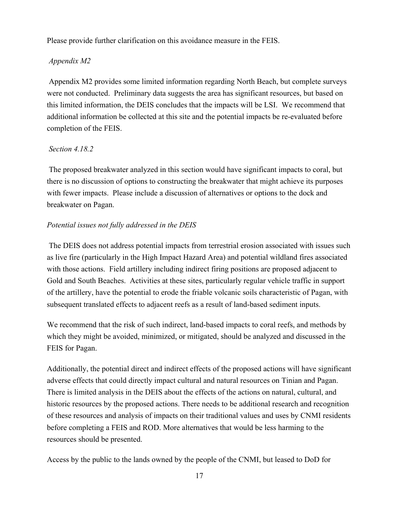Please provide further clarification on this avoidance measure in the FEIS.

## *Appendix M2*

Appendix M2 provides some limited information regarding North Beach, but complete surveys were not conducted. Preliminary data suggests the area has significant resources, but based on this limited information, the DEIS concludes that the impacts will be LSI. We recommend that additional information be collected at this site and the potential impacts be re-evaluated before completion of the FEIS.

## *Section 4.18.2*

The proposed breakwater analyzed in this section would have significant impacts to coral, but there is no discussion of options to constructing the breakwater that might achieve its purposes with fewer impacts. Please include a discussion of alternatives or options to the dock and breakwater on Pagan.

## *Potential issues not fully addressed in the DEIS*

The DEIS does not address potential impacts from terrestrial erosion associated with issues such as live fire (particularly in the High Impact Hazard Area) and potential wildland fires associated with those actions. Field artillery including indirect firing positions are proposed adjacent to Gold and South Beaches. Activities at these sites, particularly regular vehicle traffic in support of the artillery, have the potential to erode the friable volcanic soils characteristic of Pagan, with subsequent translated effects to adjacent reefs as a result of land-based sediment inputs.

We recommend that the risk of such indirect, land-based impacts to coral reefs, and methods by which they might be avoided, minimized, or mitigated, should be analyzed and discussed in the FEIS for Pagan.

Additionally, the potential direct and indirect effects of the proposed actions will have significant adverse effects that could directly impact cultural and natural resources on Tinian and Pagan. There is limited analysis in the DEIS about the effects of the actions on natural, cultural, and historic resources by the proposed actions. There needs to be additional research and recognition of these resources and analysis of impacts on their traditional values and uses by CNMI residents before completing a FEIS and ROD. More alternatives that would be less harming to the resources should be presented.

Access by the public to the lands owned by the people of the CNMI, but leased to DoD for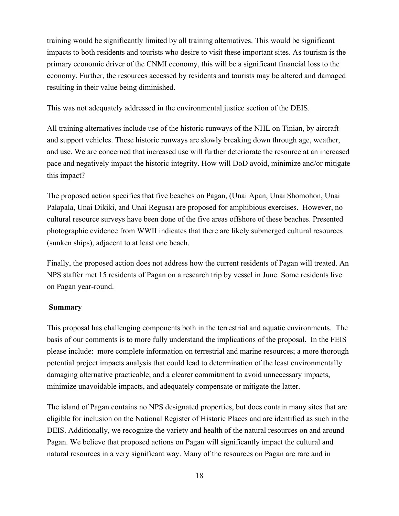training would be significantly limited by all training alternatives. This would be significant impacts to both residents and tourists who desire to visit these important sites. As tourism is the primary economic driver of the CNMI economy, this will be a significant financial loss to the economy. Further, the resources accessed by residents and tourists may be altered and damaged resulting in their value being diminished.

This was not adequately addressed in the environmental justice section of the DEIS.

All training alternatives include use of the historic runways of the NHL on Tinian, by aircraft and support vehicles. These historic runways are slowly breaking down through age, weather, and use. We are concerned that increased use will further deteriorate the resource at an increased pace and negatively impact the historic integrity. How will DoD avoid, minimize and/or mitigate this impact?

The proposed action specifies that five beaches on Pagan, (Unai Apan, Unai Shomohon, Unai Palapala, Unai Dikiki, and Unai Regusa) are proposed for amphibious exercises. However, no cultural resource surveys have been done of the five areas offshore of these beaches. Presented photographic evidence from WWII indicates that there are likely submerged cultural resources (sunken ships), adjacent to at least one beach.

Finally, the proposed action does not address how the current residents of Pagan will treated. An NPS staffer met 15 residents of Pagan on a research trip by vessel in June. Some residents live on Pagan year-round.

## **Summary**

This proposal has challenging components both in the terrestrial and aquatic environments. The basis of our comments is to more fully understand the implications of the proposal. In the FEIS please include: more complete information on terrestrial and marine resources; a more thorough potential project impacts analysis that could lead to determination of the least environmentally damaging alternative practicable; and a clearer commitment to avoid unnecessary impacts, minimize unavoidable impacts, and adequately compensate or mitigate the latter.

The island of Pagan contains no NPS designated properties, but does contain many sites that are eligible for inclusion on the National Register of Historic Places and are identified as such in the DEIS. Additionally, we recognize the variety and health of the natural resources on and around Pagan. We believe that proposed actions on Pagan will significantly impact the cultural and natural resources in a very significant way. Many of the resources on Pagan are rare and in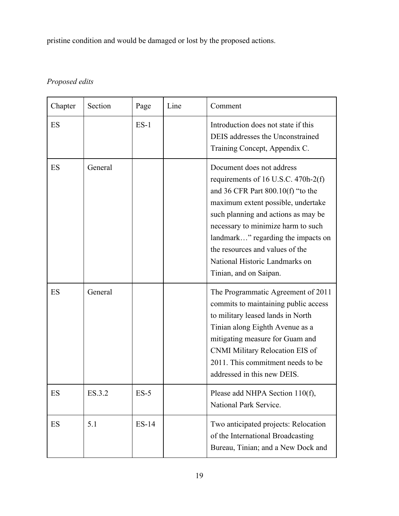pristine condition and would be damaged or lost by the proposed actions.

## *Proposed edits*

| Chapter | Section | Page    | Line | Comment                                                                                                                                                                                                                                                                                                                                                         |
|---------|---------|---------|------|-----------------------------------------------------------------------------------------------------------------------------------------------------------------------------------------------------------------------------------------------------------------------------------------------------------------------------------------------------------------|
| ES      |         | $ES-1$  |      | Introduction does not state if this<br>DEIS addresses the Unconstrained<br>Training Concept, Appendix C.                                                                                                                                                                                                                                                        |
| ES      | General |         |      | Document does not address<br>requirements of 16 U.S.C. 470h-2(f)<br>and 36 CFR Part $800.10(f)$ "to the<br>maximum extent possible, undertake<br>such planning and actions as may be<br>necessary to minimize harm to such<br>landmark" regarding the impacts on<br>the resources and values of the<br>National Historic Landmarks on<br>Tinian, and on Saipan. |
| ES      | General |         |      | The Programmatic Agreement of 2011<br>commits to maintaining public access<br>to military leased lands in North<br>Tinian along Eighth Avenue as a<br>mitigating measure for Guam and<br>CNMI Military Relocation EIS of<br>2011. This commitment needs to be<br>addressed in this new DEIS.                                                                    |
| ES      | ES.3.2  | $ES-5$  |      | Please add NHPA Section 110(f),<br>National Park Service.                                                                                                                                                                                                                                                                                                       |
| ES      | 5.1     | $ES-14$ |      | Two anticipated projects: Relocation<br>of the International Broadcasting<br>Bureau, Tinian; and a New Dock and                                                                                                                                                                                                                                                 |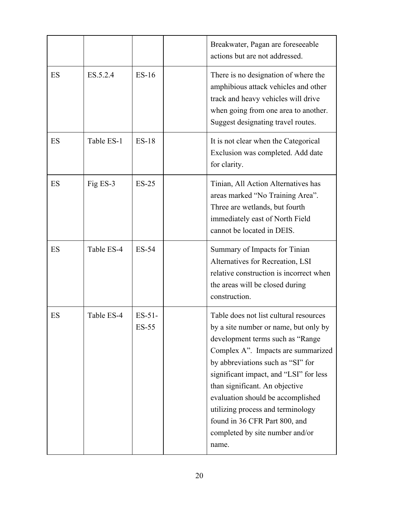|    |            |                          | Breakwater, Pagan are foreseeable<br>actions but are not addressed.                                                                                                                                                                                                                                                                                                                                                                |
|----|------------|--------------------------|------------------------------------------------------------------------------------------------------------------------------------------------------------------------------------------------------------------------------------------------------------------------------------------------------------------------------------------------------------------------------------------------------------------------------------|
| ES | ES.5.2.4   | $ES-16$                  | There is no designation of where the<br>amphibious attack vehicles and other<br>track and heavy vehicles will drive<br>when going from one area to another.<br>Suggest designating travel routes.                                                                                                                                                                                                                                  |
| ES | Table ES-1 | $ES-18$                  | It is not clear when the Categorical<br>Exclusion was completed. Add date<br>for clarity.                                                                                                                                                                                                                                                                                                                                          |
| ES | Fig ES-3   | $ES-25$                  | Tinian, All Action Alternatives has<br>areas marked "No Training Area".<br>Three are wetlands, but fourth<br>immediately east of North Field<br>cannot be located in DEIS.                                                                                                                                                                                                                                                         |
| ES | Table ES-4 | ES-54                    | Summary of Impacts for Tinian<br>Alternatives for Recreation, LSI<br>relative construction is incorrect when<br>the areas will be closed during<br>construction.                                                                                                                                                                                                                                                                   |
| ES | Table ES-4 | $ES-51-$<br><b>ES-55</b> | Table does not list cultural resources<br>by a site number or name, but only by<br>development terms such as "Range"<br>Complex A". Impacts are summarized<br>by abbreviations such as "SI" for<br>significant impact, and "LSI" for less<br>than significant. An objective<br>evaluation should be accomplished<br>utilizing process and terminology<br>found in 36 CFR Part 800, and<br>completed by site number and/or<br>name. |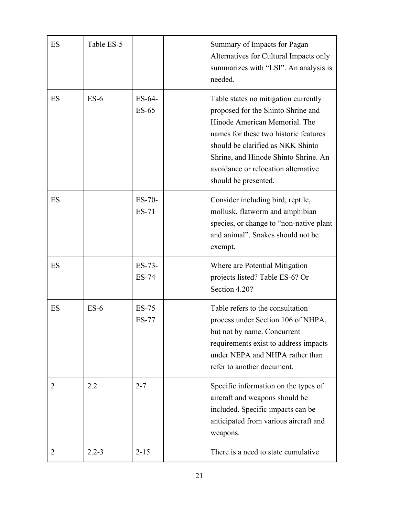| ES             | Table ES-5 |                          | Summary of Impacts for Pagan<br>Alternatives for Cultural Impacts only<br>summarizes with "LSI". An analysis is<br>needed.                                                                                                                                                                       |
|----------------|------------|--------------------------|--------------------------------------------------------------------------------------------------------------------------------------------------------------------------------------------------------------------------------------------------------------------------------------------------|
| ES             | $ES-6$     | ES-64-<br>$ES-65$        | Table states no mitigation currently<br>proposed for the Shinto Shrine and<br>Hinode American Memorial. The<br>names for these two historic features<br>should be clarified as NKK Shinto<br>Shrine, and Hinode Shinto Shrine. An<br>avoidance or relocation alternative<br>should be presented. |
| ES             |            | $ES-70-$<br>$ES-71$      | Consider including bird, reptile,<br>mollusk, flatworm and amphibian<br>species, or change to "non-native plant"<br>and animal". Snakes should not be<br>exempt.                                                                                                                                 |
| ES             |            | $ES-73-$<br><b>ES-74</b> | Where are Potential Mitigation<br>projects listed? Table ES-6? Or<br>Section 4.20?                                                                                                                                                                                                               |
| ES             | $ES-6$     | $ES-75$<br><b>ES-77</b>  | Table refers to the consultation<br>process under Section 106 of NHPA,<br>but not by name. Concurrent<br>requirements exist to address impacts<br>under NEPA and NHPA rather than<br>refer to another document.                                                                                  |
| 2              | 2.2        | $2 - 7$                  | Specific information on the types of<br>aircraft and weapons should be<br>included. Specific impacts can be<br>anticipated from various aircraft and<br>weapons.                                                                                                                                 |
| $\overline{2}$ | $2.2 - 3$  | $2 - 15$                 | There is a need to state cumulative.                                                                                                                                                                                                                                                             |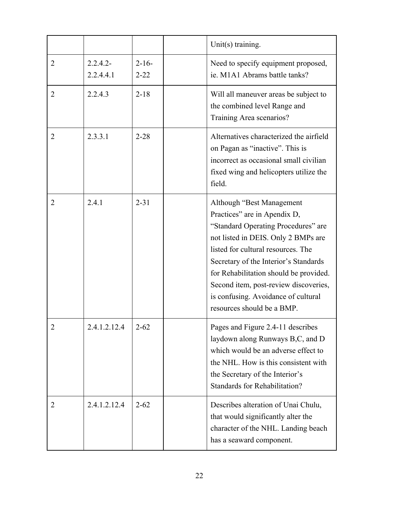|                |                          |                        | Unit $(s)$ training.                                                                                                                                                                                                                                                                                                                                                            |
|----------------|--------------------------|------------------------|---------------------------------------------------------------------------------------------------------------------------------------------------------------------------------------------------------------------------------------------------------------------------------------------------------------------------------------------------------------------------------|
| $\overline{2}$ | $2.2.4.2 -$<br>2.2.4.4.1 | $2 - 16 -$<br>$2 - 22$ | Need to specify equipment proposed,<br>ie. M1A1 Abrams battle tanks?                                                                                                                                                                                                                                                                                                            |
| $\overline{2}$ | 2.2.4.3                  | $2 - 18$               | Will all maneuver areas be subject to<br>the combined level Range and<br>Training Area scenarios?                                                                                                                                                                                                                                                                               |
| $\overline{2}$ | 2.3.3.1                  | $2 - 28$               | Alternatives characterized the airfield<br>on Pagan as "inactive". This is<br>incorrect as occasional small civilian<br>fixed wing and helicopters utilize the<br>field.                                                                                                                                                                                                        |
| 2              | 2.4.1                    | $2 - 31$               | Although "Best Management"<br>Practices" are in Apendix D,<br>"Standard Operating Procedures" are<br>not listed in DEIS. Only 2 BMPs are<br>listed for cultural resources. The<br>Secretary of the Interior's Standards<br>for Rehabilitation should be provided.<br>Second item, post-review discoveries,<br>is confusing. Avoidance of cultural<br>resources should be a BMP. |
| $\overline{2}$ | 2.4.1.2.12.4             | $2 - 62$               | Pages and Figure 2.4-11 describes<br>laydown along Runways B,C, and D<br>which would be an adverse effect to<br>the NHL. How is this consistent with<br>the Secretary of the Interior's<br>Standards for Rehabilitation?                                                                                                                                                        |
| $\overline{2}$ | 2.4.1.2.12.4             | $2 - 62$               | Describes alteration of Unai Chulu,<br>that would significantly alter the<br>character of the NHL. Landing beach<br>has a seaward component.                                                                                                                                                                                                                                    |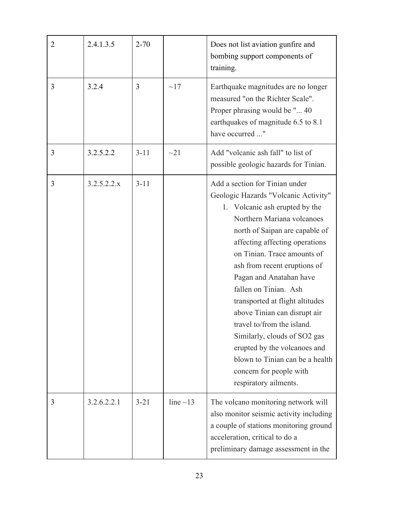| $\overline{2}$ | 2.4.1.3.5   | $2 - 70$ |                | Does not list aviation gunfire and<br>bombing support components of<br>training.                                                                                                                                                                                                                                                                                                                                                                                                                                                                                                      |
|----------------|-------------|----------|----------------|---------------------------------------------------------------------------------------------------------------------------------------------------------------------------------------------------------------------------------------------------------------------------------------------------------------------------------------------------------------------------------------------------------------------------------------------------------------------------------------------------------------------------------------------------------------------------------------|
| 3              | 3.2.4       | 3        | $\sim17$       | Earthquake magnitudes are no longer<br>measured "on the Richter Scale".<br>Proper phrasing would be " 40<br>earthquakes of magnitude 6.5 to 8.1<br>have occurred "                                                                                                                                                                                                                                                                                                                                                                                                                    |
| 3              | 3.2.5.2.2   | $3 - 11$ | $\sim$ 21      | Add "volcanic ash fall" to list of<br>possible geologic hazards for Tinian.                                                                                                                                                                                                                                                                                                                                                                                                                                                                                                           |
| 3              | 3.2.5.2.2.x | $3 - 11$ |                | Add a section for Tinian under<br>Geologic Hazards "Volcanic Activity"<br>1. Volcanic ash erupted by the<br>Northern Mariana volcanoes<br>north of Saipan are capable of<br>affecting affecting operations<br>on Tinian. Trace amounts of<br>ash from recent eruptions of<br>Pagan and Anatahan have<br>fallen on Tinian. Ash<br>transported at flight altitudes<br>above Tinian can disrupt air<br>travel to/from the island.<br>Similarly, clouds of SO2 gas<br>erupted by the volcanoes and<br>blown to Tinian can be a health<br>concern for people with<br>respiratory ailments. |
| 3              | 3.2.6.2.2.1 | $3 - 21$ | line $\sim$ 13 | The volcano monitoring network will<br>also monitor seismic activity including<br>a couple of stations monitoring ground<br>acceleration, critical to do a<br>preliminary damage assessment in the                                                                                                                                                                                                                                                                                                                                                                                    |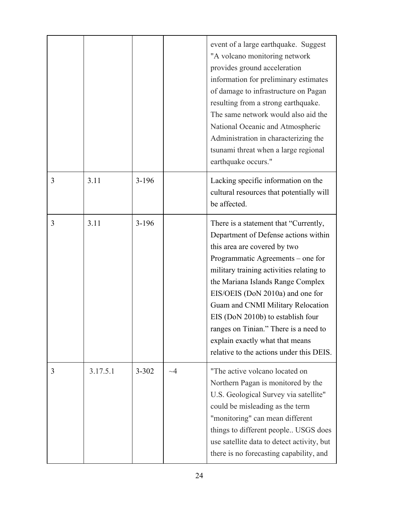|   |          |           |             | event of a large earthquake. Suggest<br>"A volcano monitoring network<br>provides ground acceleration<br>information for preliminary estimates<br>of damage to infrastructure on Pagan<br>resulting from a strong earthquake.<br>The same network would also aid the<br>National Oceanic and Atmospheric<br>Administration in characterizing the<br>tsunami threat when a large regional<br>earthquake occurs."                                                           |
|---|----------|-----------|-------------|---------------------------------------------------------------------------------------------------------------------------------------------------------------------------------------------------------------------------------------------------------------------------------------------------------------------------------------------------------------------------------------------------------------------------------------------------------------------------|
| 3 | 3.11     | $3 - 196$ |             | Lacking specific information on the<br>cultural resources that potentially will<br>be affected.                                                                                                                                                                                                                                                                                                                                                                           |
| 3 | 3.11     | $3 - 196$ |             | There is a statement that "Currently,<br>Department of Defense actions within<br>this area are covered by two<br>Programmatic Agreements – one for<br>military training activities relating to<br>the Mariana Islands Range Complex<br>EIS/OEIS (DoN 2010a) and one for<br>Guam and CNMI Military Relocation<br>EIS (DoN 2010b) to establish four<br>ranges on Tinian." There is a need to<br>explain exactly what that means<br>relative to the actions under this DEIS. |
| 3 | 3.17.5.1 | $3 - 302$ | $\sim\!\!4$ | "The active volcano located on<br>Northern Pagan is monitored by the<br>U.S. Geological Survey via satellite"<br>could be misleading as the term<br>"monitoring" can mean different<br>things to different people USGS does<br>use satellite data to detect activity, but<br>there is no forecasting capability, and                                                                                                                                                      |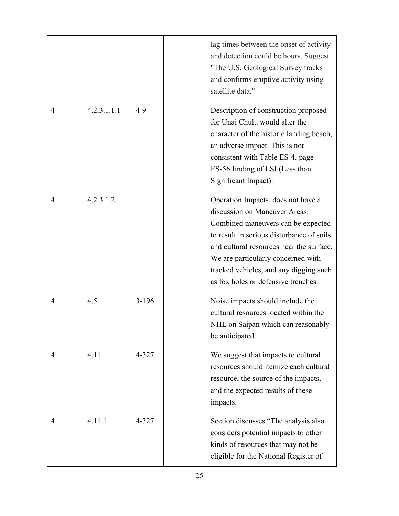|   |             |           | lag times between the onset of activity<br>and detection could be hours. Suggest<br>"The U.S. Geological Survey tracks<br>and confirms eruptive activity using<br>satellite data."                                                                                                                                        |
|---|-------------|-----------|---------------------------------------------------------------------------------------------------------------------------------------------------------------------------------------------------------------------------------------------------------------------------------------------------------------------------|
| 4 | 4.2.3.1.1.1 | $4 - 9$   | Description of construction proposed<br>for Unai Chulu would alter the<br>character of the historic landing beach,<br>an adverse impact. This is not<br>consistent with Table ES-4, page<br>ES-56 finding of LSI (Less than<br>Significant Impact).                                                                       |
| 4 | 4.2.3.1.2   |           | Operation Impacts, does not have a<br>discussion on Maneuver Areas.<br>Combined maneuvers can be expected<br>to result in serious disturbance of soils<br>and cultural resources near the surface.<br>We are particularly concerned with<br>tracked vehicles, and any digging such<br>as fox holes or defensive trenches. |
| 4 | 4.5         | $3 - 196$ | Noise impacts should include the<br>cultural resources located within the<br>NHL on Saipan which can reasonably<br>be anticipated.                                                                                                                                                                                        |
| 4 | 4.11        | 4-327     | We suggest that impacts to cultural<br>resources should itemize each cultural<br>resource, the source of the impacts,<br>and the expected results of these<br>impacts.                                                                                                                                                    |
| 4 | 4.11.1      | 4-327     | Section discusses "The analysis also<br>considers potential impacts to other<br>kinds of resources that may not be<br>eligible for the National Register of                                                                                                                                                               |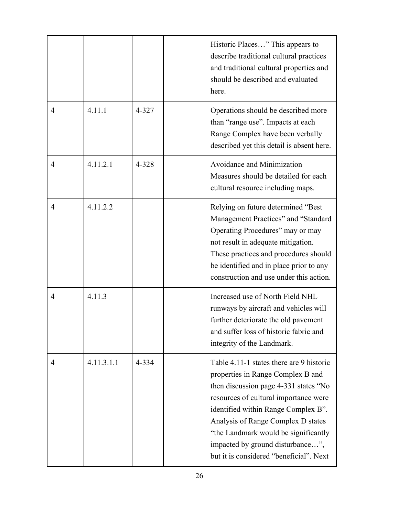|   |            |       | Historic Places" This appears to<br>describe traditional cultural practices<br>and traditional cultural properties and<br>should be described and evaluated<br>here.                                                                                                                                                                                                 |
|---|------------|-------|----------------------------------------------------------------------------------------------------------------------------------------------------------------------------------------------------------------------------------------------------------------------------------------------------------------------------------------------------------------------|
| 4 | 4.11.1     | 4-327 | Operations should be described more<br>than "range use". Impacts at each<br>Range Complex have been verbally<br>described yet this detail is absent here.                                                                                                                                                                                                            |
| 4 | 4.11.2.1   | 4-328 | Avoidance and Minimization<br>Measures should be detailed for each<br>cultural resource including maps.                                                                                                                                                                                                                                                              |
| 4 | 4.11.2.2   |       | Relying on future determined "Best<br>Management Practices" and "Standard<br>Operating Procedures" may or may<br>not result in adequate mitigation.<br>These practices and procedures should<br>be identified and in place prior to any<br>construction and use under this action.                                                                                   |
| 4 | 4.11.3     |       | Increased use of North Field NHL<br>runways by aircraft and vehicles will<br>further deteriorate the old pavement<br>and suffer loss of historic fabric and<br>integrity of the Landmark.                                                                                                                                                                            |
| 4 | 4.11.3.1.1 | 4-334 | Table 4.11-1 states there are 9 historic<br>properties in Range Complex B and<br>then discussion page 4-331 states "No<br>resources of cultural importance were<br>identified within Range Complex B".<br>Analysis of Range Complex D states<br>"the Landmark would be significantly"<br>impacted by ground disturbance",<br>but it is considered "beneficial". Next |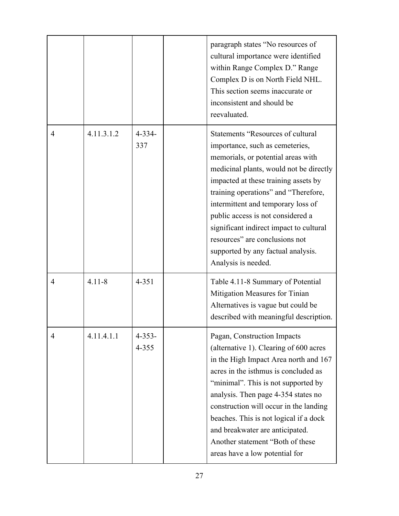|                |            |                      | paragraph states "No resources of<br>cultural importance were identified<br>within Range Complex D." Range<br>Complex D is on North Field NHL.<br>This section seems inaccurate or<br>inconsistent and should be<br>reevaluated.                                                                                                                                                                                                                                  |
|----------------|------------|----------------------|-------------------------------------------------------------------------------------------------------------------------------------------------------------------------------------------------------------------------------------------------------------------------------------------------------------------------------------------------------------------------------------------------------------------------------------------------------------------|
| $\overline{4}$ | 4.11.3.1.2 | $4 - 334 -$<br>337   | <b>Statements "Resources of cultural</b><br>importance, such as cemeteries,<br>memorials, or potential areas with<br>medicinal plants, would not be directly<br>impacted at these training assets by<br>training operations" and "Therefore,<br>intermittent and temporary loss of<br>public access is not considered a<br>significant indirect impact to cultural<br>resources" are conclusions not<br>supported by any factual analysis.<br>Analysis is needed. |
| $\overline{4}$ | $4.11 - 8$ | $4 - 351$            | Table 4.11-8 Summary of Potential<br>Mitigation Measures for Tinian<br>Alternatives is vague but could be<br>described with meaningful description.                                                                                                                                                                                                                                                                                                               |
| 4              | 4.11.4.1.1 | $4 - 353 -$<br>4-355 | Pagan, Construction Impacts<br>(alternative 1). Clearing of 600 acres<br>in the High Impact Area north and 167<br>acres in the isthmus is concluded as<br>"minimal". This is not supported by<br>analysis. Then page 4-354 states no<br>construction will occur in the landing<br>beaches. This is not logical if a dock<br>and breakwater are anticipated.<br>Another statement "Both of these<br>areas have a low potential for                                 |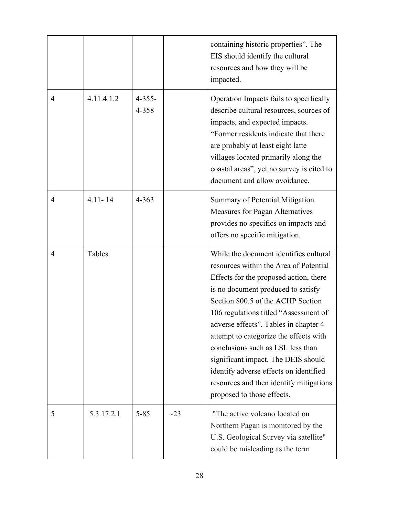|                |             |                      |           | containing historic properties". The<br>EIS should identify the cultural<br>resources and how they will be<br>impacted.                                                                                                                                                                                                                                                                                                                                                                                                           |
|----------------|-------------|----------------------|-----------|-----------------------------------------------------------------------------------------------------------------------------------------------------------------------------------------------------------------------------------------------------------------------------------------------------------------------------------------------------------------------------------------------------------------------------------------------------------------------------------------------------------------------------------|
| $\overline{4}$ | 4.11.4.1.2  | $4 - 355 -$<br>4-358 |           | Operation Impacts fails to specifically<br>describe cultural resources, sources of<br>impacts, and expected impacts.<br>"Former residents indicate that there<br>are probably at least eight latte<br>villages located primarily along the<br>coastal areas", yet no survey is cited to<br>document and allow avoidance.                                                                                                                                                                                                          |
| $\overline{4}$ | $4.11 - 14$ | $4 - 363$            |           | Summary of Potential Mitigation<br>Measures for Pagan Alternatives<br>provides no specifics on impacts and<br>offers no specific mitigation.                                                                                                                                                                                                                                                                                                                                                                                      |
| 4              | Tables      |                      |           | While the document identifies cultural<br>resources within the Area of Potential<br>Effects for the proposed action, there<br>is no document produced to satisfy<br>Section 800.5 of the ACHP Section<br>106 regulations titled "Assessment of<br>adverse effects". Tables in chapter 4<br>attempt to categorize the effects with<br>conclusions such as LSI: less than<br>significant impact. The DEIS should<br>identify adverse effects on identified<br>resources and then identify mitigations<br>proposed to those effects. |
| 5              | 5.3.17.2.1  | $5 - 85$             | $\sim$ 23 | "The active volcano located on<br>Northern Pagan is monitored by the<br>U.S. Geological Survey via satellite"<br>could be misleading as the term                                                                                                                                                                                                                                                                                                                                                                                  |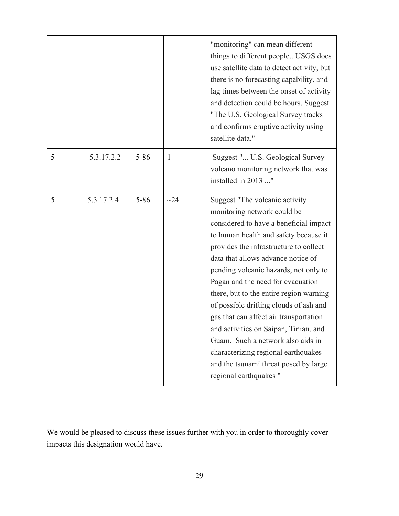|   |            |          |           | "monitoring" can mean different<br>things to different people USGS does<br>use satellite data to detect activity, but<br>there is no forecasting capability, and<br>lag times between the onset of activity<br>and detection could be hours. Suggest<br>"The U.S. Geological Survey tracks<br>and confirms eruptive activity using<br>satellite data."                                                                                                                                                                                                                                                                               |
|---|------------|----------|-----------|--------------------------------------------------------------------------------------------------------------------------------------------------------------------------------------------------------------------------------------------------------------------------------------------------------------------------------------------------------------------------------------------------------------------------------------------------------------------------------------------------------------------------------------------------------------------------------------------------------------------------------------|
| 5 | 5.3.17.2.2 | $5 - 86$ | 1         | Suggest " U.S. Geological Survey<br>volcano monitoring network that was<br>installed in 2013 "                                                                                                                                                                                                                                                                                                                                                                                                                                                                                                                                       |
| 5 | 5.3.17.2.4 | $5 - 86$ | $\sim$ 24 | Suggest "The volcanic activity<br>monitoring network could be<br>considered to have a beneficial impact<br>to human health and safety because it<br>provides the infrastructure to collect<br>data that allows advance notice of<br>pending volcanic hazards, not only to<br>Pagan and the need for evacuation<br>there, but to the entire region warning<br>of possible drifting clouds of ash and<br>gas that can affect air transportation<br>and activities on Saipan, Tinian, and<br>Guam. Such a network also aids in<br>characterizing regional earthquakes<br>and the tsunami threat posed by large<br>regional earthquakes" |

We would be pleased to discuss these issues further with you in order to thoroughly cover impacts this designation would have.